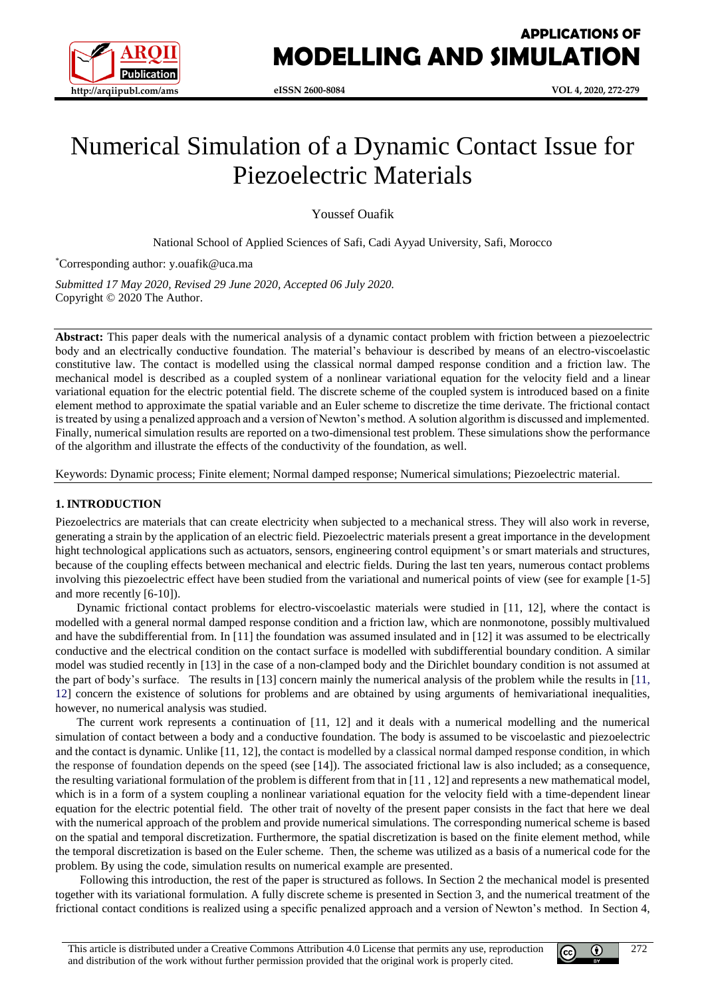

# Numerical Simulation of a Dynamic Contact Issue for Piezoelectric Materials

Youssef Ouafik

National School of Applied Sciences of Safi, Cadi Ayyad University, Safi, Morocco

\*Corresponding author: y.ouafik@uca.ma

*Submitted 17 May 2020, Revised 29 June 2020, Accepted 06 July 2020.* Copyright © 2020 The Author.

**Abstract:** This paper deals with the numerical analysis of a dynamic contact problem with friction between a piezoelectric body and an electrically conductive foundation. The material's behaviour is described by means of an electro-viscoelastic constitutive law. The contact is modelled using the classical normal damped response condition and a friction law. The mechanical model is described as a coupled system of a nonlinear variational equation for the velocity field and a linear variational equation for the electric potential field. The discrete scheme of the coupled system is introduced based on a finite element method to approximate the spatial variable and an Euler scheme to discretize the time derivate. The frictional contact is treated by using a penalized approach and a version of Newton's method. A solution algorithm is discussed and implemented. Finally, numerical simulation results are reported on a two-dimensional test problem. These simulations show the performance of the algorithm and illustrate the effects of the conductivity of the foundation, as well.

Keywords: Dynamic process; Finite element; Normal damped response; Numerical simulations; Piezoelectric material.

#### **1. INTRODUCTION**

Piezoelectrics are materials that can create electricity when subjected to a mechanical stress. They will also work in reverse, generating a strain by the application of an electric field. Piezoelectric materials present a great importance in the development hight technological applications such as actuators, sensors, engineering control equipment's or smart materials and structures, because of the coupling effects between mechanical and electric fields. During the last ten years, numerous contact problems involving this piezoelectric effect have been studied from the variational and numerical points of view (see for example [1-5] and more recently [6-10]).

Dynamic frictional contact problems for electro-viscoelastic materials were studied in [11, 12], where the contact is modelled with a general normal damped response condition and a friction law, which are nonmonotone, possibly multivalued and have the subdifferential from. In [11] the foundation was assumed insulated and in [12] it was assumed to be electrically conductive and the electrical condition on the contact surface is modelled with subdifferential boundary condition. A similar model was studied recently in [13] in the case of a non-clamped body and the Dirichlet boundary condition is not assumed at the part of body's surface. The results in [13] concern mainly the numerical analysis of the problem while the results in [11, 12] concern the existence of solutions for problems and are obtained by using arguments of hemivariational inequalities, however, no numerical analysis was studied.

The current work represents a continuation of [11, 12] and it deals with a numerical modelling and the numerical simulation of contact between a body and a conductive foundation. The body is assumed to be viscoelastic and piezoelectric and the contact is dynamic. Unlike [11, 12], the contact is modelled by a classical normal damped response condition, in which the response of foundation depends on the speed (see [14]). The associated frictional law is also included; as a consequence, the resulting variational formulation of the problem is different from that in [11 , 12] and represents a new mathematical model, which is in a form of a system coupling a nonlinear variational equation for the velocity field with a time-dependent linear equation for the electric potential field. The other trait of novelty of the present paper consists in the fact that here we deal with the numerical approach of the problem and provide numerical simulations. The corresponding numerical scheme is based on the spatial and temporal discretization. Furthermore, the spatial discretization is based on the finite element method, while the temporal discretization is based on the Euler scheme. Then, the scheme was utilized as a basis of a numerical code for the problem. By using the code, simulation results on numerical example are presented.

Following this introduction, the rest of the paper is structured as follows. In Section 2 the mechanical model is presented together with its variational formulation. A fully discrete scheme is presented in Section 3, and the numerical treatment of the frictional contact conditions is realized using a specific penalized approach and a version of Newton's method. In Section 4,

 $^{\circ}$ 

(cc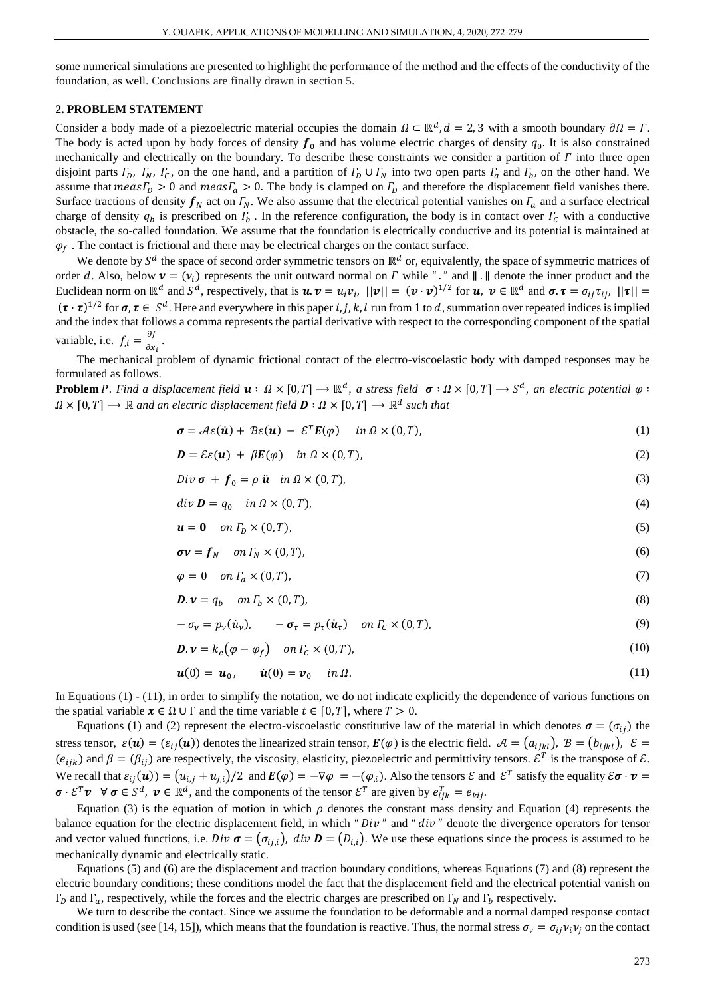some numerical simulations are presented to highlight the performance of the method and the effects of the conductivity of the foundation, as well. Conclusions are finally drawn in section 5.

# **2. PROBLEM STATEMENT**

Consider a body made of a piezoelectric material occupies the domain  $\Omega \subset \mathbb{R}^d$ ,  $d = 2, 3$  with a smooth boundary  $\partial \Omega = \Gamma$ . The body is acted upon by body forces of density  $f_0$  and has volume electric charges of density  $q_0$ . It is also constrained mechanically and electrically on the boundary. To describe these constraints we consider a partition of  $\Gamma$  into three open disjoint parts  $\Gamma_D$ ,  $\Gamma_N$ ,  $\Gamma_C$ , on the one hand, and a partition of  $\Gamma_D \cup \Gamma_N$  into two open parts  $\Gamma_a$  and  $\Gamma_b$ , on the other hand. We assume that  $meas\Gamma_D > 0$  and  $meas\Gamma_a > 0$ . The body is clamped on  $\Gamma_D$  and therefore the displacement field vanishes there. Surface tractions of density  $f_N$  act on  $\Gamma_N$ . We also assume that the electrical potential vanishes on  $\Gamma_a$  and a surface electrical charge of density  $q_b$  is prescribed on  $\Gamma_b$ . In the reference configuration, the body is in contact over  $\Gamma_c$  with a conductive obstacle, the so-called foundation. We assume that the foundation is electrically conductive and its potential is maintained at  $\varphi_f$ . The contact is frictional and there may be electrical charges on the contact surface.

We denote by  $S^d$  the space of second order symmetric tensors on  $\mathbb{R}^d$  or, equivalently, the space of symmetric matrices of order d. Also, below  $\mathbf{v} = (v_i)$  represents the unit outward normal on  $\Gamma$  while "." and  $\| \cdot \|$  denote the inner product and the Euclidean norm on  $\mathbb{R}^d$  and  $S^d$ , respectively, that is  $u \cdot v = u_i v_i$ ,  $||v|| = (v \cdot v)^{1/2}$  for  $u$ ,  $v \in \mathbb{R}^d$  and  $\sigma \cdot \tau = \sigma_{ij} \tau_{ij}$ ,  $||\tau|| =$  $(\tau \cdot \tau)^{1/2}$  for  $\sigma, \tau \in S^d$ . Here and everywhere in this paper i, j, k, l run from 1 to d, summation over repeated indices is implied and the index that follows a comma represents the partial derivative with respect to the corresponding component of the spatial variable, i.e.  $f_{i} = \frac{\partial f}{\partial x_{i}}$  $\frac{\partial f}{\partial x_i}$ .

The mechanical problem of dynamic frictional contact of the electro-viscoelastic body with damped responses may be formulated as follows.

**Problem** P. Find a displacement field  $u : \Omega \times [0,T] \to \mathbb{R}^d$ , a stress field  $\sigma : \Omega \times [0,T] \to S^d$ , an electric potential  $\varphi :$  $\Omega \times [0,T] \longrightarrow \mathbb{R}$  and an electric displacement field  $\mathbf{D} : \Omega \times [0,T] \longrightarrow \mathbb{R}^d$  such that

$$
\boldsymbol{\sigma} = \mathcal{A}\varepsilon(\boldsymbol{u}) + \mathcal{B}\varepsilon(\boldsymbol{u}) - \mathcal{E}^T \boldsymbol{E}(\varphi) \quad in \ \Omega \times (0,T), \tag{1}
$$

$$
\mathbf{D} = \mathcal{E}\varepsilon(\mathbf{u}) + \beta \mathbf{E}(\varphi) \quad \text{in } \Omega \times (0, T), \tag{2}
$$

$$
Div \boldsymbol{\sigma} + \boldsymbol{f}_0 = \rho \, \ddot{\boldsymbol{u}} \quad in \, \Omega \times (0, T), \tag{3}
$$

$$
div \mathbf{D} = q_0 \quad in \Omega \times (0, T), \tag{4}
$$

$$
u = 0 \quad on \Gamma_D \times (0, T), \tag{5}
$$

$$
\sigma \mathbf{v} = \mathbf{f}_N \quad \text{on } \Gamma_N \times (0, T), \tag{6}
$$

$$
\varphi = 0 \quad on \Gamma_a \times (0, T), \tag{7}
$$

$$
\mathbf{D}.\mathbf{v} = q_b \quad \text{on } \Gamma_b \times (0, T), \tag{8}
$$

$$
-\sigma_{\nu} = p_{\nu}(\dot{u}_{\nu}), \qquad -\sigma_{\tau} = p_{\tau}(\dot{u}_{\tau}) \quad on \Gamma_{C} \times (0, T), \tag{9}
$$

$$
\mathbf{D} \cdot \mathbf{v} = k_e \big( \varphi - \varphi_f \big) \quad \text{on } \Gamma_c \times (0, T), \tag{10}
$$

$$
\mathbf{u}(0) = \mathbf{u}_0, \qquad \dot{\mathbf{u}}(0) = \mathbf{v}_0 \quad \text{in } \Omega. \tag{11}
$$

In Equations (1) - (11), in order to simplify the notation, we do not indicate explicitly the dependence of various functions on the spatial variable  $x \in \Omega \cup \Gamma$  and the time variable  $t \in [0, T]$ , where  $T > 0$ .

Equations (1) and (2) represent the electro-viscoelastic constitutive law of the material in which denotes  $\sigma = (\sigma_{ij})$  the stress tensor,  $\varepsilon(\mathbf{u}) = (\varepsilon_{ij}(\mathbf{u}))$  denotes the linearized strain tensor,  $\mathbf{E}(\varphi)$  is the electric field.  $\mathcal{A} = (a_{ijkl})$ ,  $\mathcal{B} = (b_{ijkl})$ ,  $\mathcal{E} =$  $(e_{ijk})$  and  $\beta = (\beta_{ij})$  are respectively, the viscosity, elasticity, piezoelectric and permittivity tensors.  $\mathcal{E}^T$  is the transpose of  $\mathcal{E}$ . We recall that  $\varepsilon_{ij}(u) = (u_{i,j} + u_{j,i})/2$  and  $E(\varphi) = -\nabla \varphi = -(\varphi_{i}).$  Also the tensors  $\mathcal E$  and  $\mathcal E^{T}$  satisfy the equality  $\mathcal E \sigma \cdot v =$  $\boldsymbol{\sigma} \cdot \mathcal{E}^T \boldsymbol{\nu} \ \ \forall \ \boldsymbol{\sigma} \in S^d$ ,  $\boldsymbol{\nu} \in \mathbb{R}^d$ , and the components of the tensor  $\mathcal{E}^T$  are given by  $e_{ijk}^T = e_{kij}$ .

Equation (3) is the equation of motion in which  $\rho$  denotes the constant mass density and Equation (4) represents the balance equation for the electric displacement field, in which "  $Div$ " and "  $div$ " denote the divergence operators for tensor and vector valued functions, i.e.  $Div \boldsymbol{\sigma} = (\sigma_{i,i})$ ,  $div \boldsymbol{D} = (D_{i,i})$ . We use these equations since the process is assumed to be mechanically dynamic and electrically static.

Equations (5) and (6) are the displacement and traction boundary conditions, whereas Equations (7) and (8) represent the electric boundary conditions; these conditions model the fact that the displacement field and the electrical potential vanish on  $\Gamma_D$  and  $\Gamma_a$ , respectively, while the forces and the electric charges are prescribed on  $\Gamma_N$  and  $\Gamma_b$  respectively.

We turn to describe the contact. Since we assume the foundation to be deformable and a normal damped response contact condition is used (see [14, 15]), which means that the foundation is reactive. Thus, the normal stress  $\sigma_v = \sigma_{ij} v_i v_j$  on the contact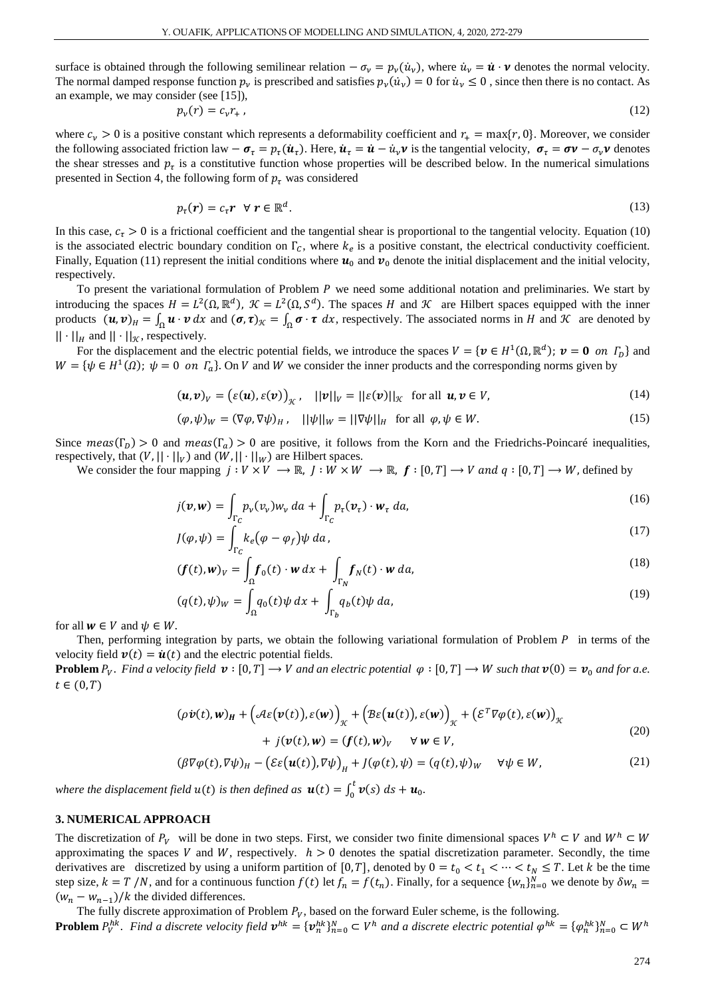surface is obtained through the following semilinear relation  $-\sigma_v = p_v(\dot{u}_v)$ , where  $\dot{u}_v = \dot{u} \cdot v$  denotes the normal velocity. The normal damped response function  $p_\nu$  is prescribed and satisfies  $p_\nu(\dot{u}_\nu) = 0$  for  $\dot{u}_\nu \le 0$ , since then there is no contact. As an example, we may consider (see [15]),

$$
p_v(r) = c_v r_+ \,,\tag{12}
$$

where  $c_v > 0$  is a positive constant which represents a deformability coefficient and  $r_+ = \max\{r, 0\}$ . Moreover, we consider the following associated friction law  $-\sigma_{\tau} = p_{\tau}(\dot{u}_{\tau})$ . Here,  $\dot{u}_{\tau} = \dot{u} - \dot{u}_{\nu}v$  is the tangential velocity,  $\sigma_{\tau} = \sigma v - \sigma_{\nu}v$  denotes the shear stresses and  $p_{\tau}$  is a constitutive function whose properties will be described below. In the numerical simulations presented in Section 4, the following form of  $p<sub>\tau</sub>$  was considered

$$
p_{\tau}(r) = c_{\tau} r \ \forall \, r \in \mathbb{R}^d. \tag{13}
$$

In this case,  $c_{\tau} > 0$  is a frictional coefficient and the tangential shear is proportional to the tangential velocity. Equation (10) is the associated electric boundary condition on  $\Gamma_c$ , where  $k_e$  is a positive constant, the electrical conductivity coefficient. Finally, Equation (11) represent the initial conditions where  $u_0$  and  $v_0$  denote the initial displacement and the initial velocity, respectively.

To present the variational formulation of Problem  $P$  we need some additional notation and preliminaries. We start by introducing the spaces  $H = L^2(\Omega, \mathbb{R}^d)$ ,  $\mathcal{K} = L^2(\Omega, \mathcal{S}^d)$ . The spaces H and  $\mathcal{K}$  are Hilbert spaces equipped with the inner products  $(u, v)_H = \int_{\Omega} u \cdot v \, dx$  and  $(\sigma, \tau)_K = \int_{\Omega} \sigma \cdot \tau \, dx$ , respectively. The associated norms in H and K are denoted by  $|| \cdot ||_H$  and  $|| \cdot ||_K$ , respectively.

For the displacement and the electric potential fields, we introduce the spaces  $V = \{v \in H^1(\Omega, \mathbb{R}^d) : v = 0 \text{ on } \Gamma_D\}$  and  $W = {\psi \in H^1(\Omega)}$ ;  $\psi = 0$  on  $\Gamma_a$ . On V and W we consider the inner products and the corresponding norms given by

$$
(\boldsymbol{u},\boldsymbol{v})_V = (\varepsilon(\boldsymbol{u}),\varepsilon(\boldsymbol{v}))_{\mathcal{K}}, \quad ||\boldsymbol{v}||_V = ||\varepsilon(\boldsymbol{v})||_{\mathcal{K}} \text{ for all } \boldsymbol{u},\boldsymbol{v} \in V,
$$
\n(14)

$$
(\varphi, \psi)_W = (\nabla \varphi, \nabla \psi)_H, \quad ||\psi||_W = ||\nabla \psi||_H \text{ for all } \varphi, \psi \in W. \tag{15}
$$

Since  $meas(\Gamma_D) > 0$  and  $meas(\Gamma_a) > 0$  are positive, it follows from the Korn and the Friedrichs-Poincaré inequalities, respectively, that  $(V, || \cdot ||_V)$  and  $(W, || \cdot ||_W)$  are Hilbert spaces.

We consider the four mapping  $j: V \times V \to \mathbb{R}$ ,  $j: W \times W \to \mathbb{R}$ ,  $f: [0, T] \to V$  and  $q: [0, T] \to W$ , defined by

$$
j(\boldsymbol{v}, \boldsymbol{w}) = \int_{\Gamma_C} p_{\nu}(v_{\nu}) w_{\nu} da + \int_{\Gamma_C} p_{\tau}(\boldsymbol{v}_{\tau}) \cdot \boldsymbol{w}_{\tau} da,
$$
\n(16)

$$
J(\varphi, \psi) = \int_{\Gamma_C} k_e (\varphi - \varphi_f) \psi \, da \,, \tag{17}
$$

$$
(\boldsymbol{f}(t), \boldsymbol{w})_V = \int_{\Omega} \boldsymbol{f}_0(t) \cdot \boldsymbol{w} \, dx + \int_{\Gamma_N} \boldsymbol{f}_N(t) \cdot \boldsymbol{w} \, da,\tag{18}
$$

$$
(q(t), \psi)_W = \int_{\Omega} q_0(t) \psi \, dx + \int_{\Gamma_b} q_b(t) \psi \, da,\tag{19}
$$

for all  $w \in V$  and  $\psi \in W$ .

Then, performing integration by parts, we obtain the following variational formulation of Problem  $P$  in terms of the velocity field  $v(t) = \dot{u}(t)$  and the electric potential fields.

**Problem**  $P_v$ . Find a velocity field  $v : [0, T] \to V$  and an electric potential  $\varphi : [0, T] \to W$  such that  $v(0) = v_0$  and for a.e.  $t \in (0, T)$ 

$$
(\rho \dot{\boldsymbol{v}}(t), \boldsymbol{w})_{H} + (\mathcal{A}\varepsilon(\boldsymbol{v}(t)), \varepsilon(\boldsymbol{w}))_{\mathcal{K}} + (\mathcal{B}\varepsilon(\boldsymbol{u}(t)), \varepsilon(\boldsymbol{w}))_{\mathcal{K}} + (\varepsilon^{T} \nabla \varphi(t), \varepsilon(\boldsymbol{w}))_{\mathcal{K}} + j(\boldsymbol{v}(t), \boldsymbol{w}) = (\boldsymbol{f}(t), \boldsymbol{w})_{V} \quad \forall \, \boldsymbol{w} \in V,
$$
\n(20)

$$
(\beta \nabla \varphi(t), \nabla \psi)_H - (\mathcal{E}\varepsilon(\mathbf{u}(t)), \nabla \psi)_H + J(\varphi(t), \psi) = (q(t), \psi)_W \quad \forall \psi \in W,
$$
\n(21)

where the displacement field  $u(t)$  is then defined as  $\boldsymbol{u}(t) = \int_0^t \boldsymbol{v}(s) \, ds + \boldsymbol{u}_0$ .

## **3. NUMERICAL APPROACH**

The discretization of  $P_V$  will be done in two steps. First, we consider two finite dimensional spaces  $V^h \subset V$  and  $W^h \subset W$ approximating the spaces V and W, respectively.  $h > 0$  denotes the spatial discretization parameter. Secondly, the time derivatives are discretized by using a uniform partition of [0, T], denoted by  $0 = t_0 < t_1 < \cdots < t_N \leq T$ . Let k be the time step size,  $k = T/N$ , and for a continuous function  $f(t)$  let  $f_n = f(t_n)$ . Finally, for a sequence  $\{w_n\}_{n=0}^N$  we denote by  $\delta w_n =$  $(w_n - w_{n-1})/k$  the divided differences.

The fully discrete approximation of Problem  $P_V$ , based on the forward Euler scheme, is the following.

**Problem**  $P_V^{hk}$ . Find a discrete velocity field  $v^{hk} = \{v_n^{hk}\}_{n=0}^N \subset V^h$  and a discrete electric potential  $\varphi^{hk} = \{\varphi_n^{hk}\}_{n=0}^N \subset W^h$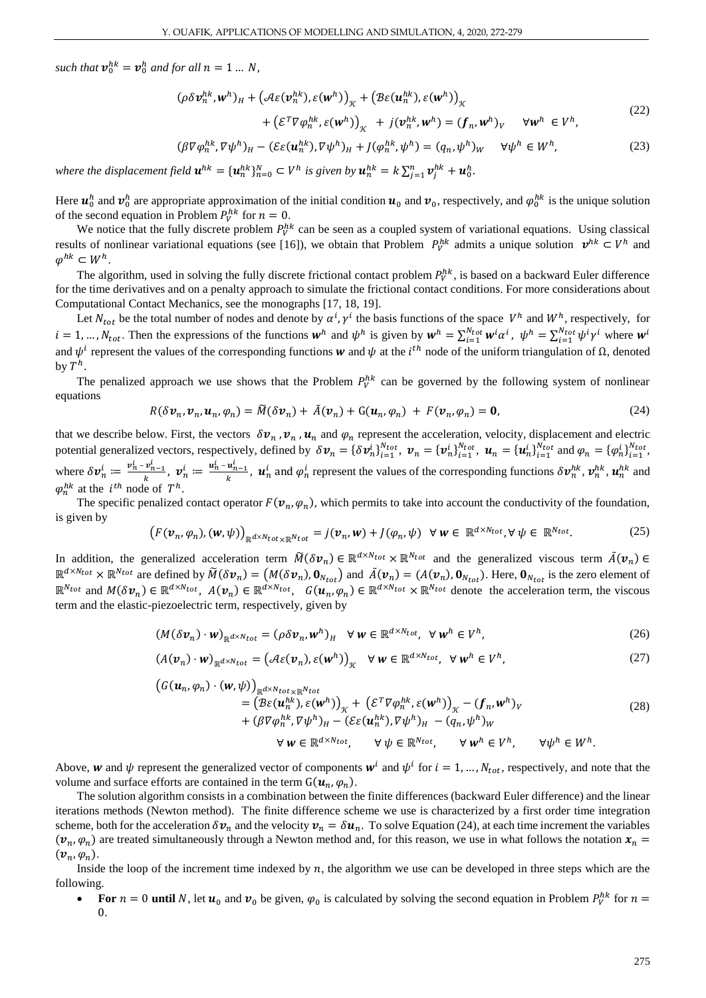such that  $v_0^{hk} = v_0^h$  and for all  $n = 1 ... N$ ,

$$
(\rho \delta v_n^{hk}, w^h)_H + (\mathcal{A}\varepsilon(v_n^{hk}), \varepsilon(w^h))_{\mathcal{K}} + (\mathcal{B}\varepsilon(u_n^{hk}), \varepsilon(w^h))_{\mathcal{K}} + (\varepsilon^T \nabla \varphi_n^{hk}, \varepsilon(w^h))_{\mathcal{K}} + j(v_n^{hk}, w^h) = (f_n, w^h)_V \quad \forall w^h \in V^h,
$$
\n
$$
(22)
$$

$$
(\beta \nabla \varphi_n^{hk}, \nabla \psi^h)_H - (\mathcal{E}\varepsilon(\mathbf{u}_n^{hk}), \nabla \psi^h)_H + J(\varphi_n^{hk}, \psi^h) = (q_n, \psi^h)_W \quad \forall \psi^h \in W^h,
$$
\n(23)

where the displacement field  $\bm{u}^{hk}=\{\bm{u}^{hk}_n\}_{n=0}^N\subset V^h$  is given by  $\bm{u}^{hk}_n=k\sum_{j=1}^n\bm{v}^{hk}_j+\bm{u}^h_0.$ 

Here  $u_0^h$  and  $v_0^h$  are appropriate approximation of the initial condition  $u_0$  and  $v_0$ , respectively, and  $\varphi_0^{hk}$  is the unique solution of the second equation in Problem  $P_V^{hk}$  for  $n = 0$ .

We notice that the fully discrete problem  $P_V^{hk}$  can be seen as a coupled system of variational equations. Using classical results of nonlinear variational equations (see [16]), we obtain that Problem  $P_V^{hk}$  admits a unique solution  $v^{hk} \subset V^h$  and  $\varphi^{hk} \subset W^h$ .

The algorithm, used in solving the fully discrete frictional contact problem  $P_V^{hk}$ , is based on a backward Euler difference for the time derivatives and on a penalty approach to simulate the frictional contact conditions. For more considerations about Computational Contact Mechanics, see the monographs [17, 18, 19].

Let  $N_{tot}$  be the total number of nodes and denote by  $\alpha^i$ ,  $\gamma^i$  the basis functions of the space  $V^h$  and  $W^h$ , respectively, for  $i = 1, ..., N_{tot}$ . Then the expressions of the functions  $w^h$  and  $\psi^h$  is given by  $w^h = \sum_{i=1}^{N_{tot}} w^i \alpha^i$ ,  $\psi^h = \sum_{i=1}^{N_{tot}} \psi^i \gamma^i$  where  $w^h$ and  $\psi^i$  represent the values of the corresponding functions **w** and  $\psi$  at the *i*<sup>th</sup> node of the uniform triangulation of  $\Omega$ , denoted by  $T^h$ .

The penalized approach we use shows that the Problem  $P_V^{hk}$  can be governed by the following system of nonlinear equations

$$
R(\delta v_n, v_n, u_n, \varphi_n) = \widetilde{M}(\delta v_n) + \widetilde{A}(v_n) + G(u_n, \varphi_n) + F(v_n, \varphi_n) = \mathbf{0},\tag{24}
$$

that we describe below. First, the vectors  $\delta v_n$ ,  $v_n$ ,  $u_n$  and  $\varphi_n$  represent the acceleration, velocity, displacement and electric potential generalized vectors, respectively, defined by  $\delta v_n = {\delta v_n^i}_{i=1}^{N_{tot}}$ ,  $v_n = {\psi_n^i}_{i=1}^{N_{tot}}$ ,  $u_n = {\{u_n^i\}_{i=1}^{N_{tot}}}$  and  $\varphi_n = {\{\varphi_n^i\}_{i=1}^{N_{tot}}}$ , where  $\delta v_n^i \coloneqq \frac{v_n^i - v_{n-1}^i}{k}$  $\frac{v_{n-1}^i}{k}$ ,  $v_n^i \coloneqq \frac{u_n^i - u_{n-1}^i}{k}$  $\frac{u_{n-1}}{k}$ ,  $u_n^i$  and  $\varphi_n^i$  represent the values of the corresponding functions  $\delta v_n^{hk}$ ,  $v_n^{hk}$ ,  $u_n^{hk}$  and  $\varphi_n^{hk}$  at the  $i^{th}$  node of  $T^h$ .

The specific penalized contact operator  $F(\nu_n, \varphi_n)$ , which permits to take into account the conductivity of the foundation, is given by

$$
\left(F(\nu_n,\varphi_n),(\mathbf{w},\psi)\right)_{\mathbb{R}^{d\times N} \text{tot}\times\mathbb{R}^{N} \text{tot}}=j(\nu_n,\mathbf{w})+j(\varphi_n,\psi)\quad \forall\ \mathbf{w}\in\mathbb{R}^{d\times N \text{tot}}, \forall\ \psi\in\mathbb{R}^{N \text{tot}}.\tag{25}
$$

In addition, the generalized acceleration term  $\widetilde{M}(\delta v_n) \in \mathbb{R}^{d \times N_{tot}} \times \mathbb{R}^{N_{tot}}$  and the generalized viscous term  $\widetilde{A}(v_n) \in$  $\mathbb{R}^{d \times N_{tot}} \times \mathbb{R}^{N_{tot}}$  are defined by  $\widetilde{M}(\delta v_n) = (M(\delta v_n), \mathbf{0}_{N_{tot}})$  and  $\widetilde{A}(v_n) = (A(v_n), \mathbf{0}_{N_{tot}})$ . Here,  $\mathbf{0}_{N_{tot}}$  is the zero element of  $\mathbb{R}^{N_{tot}}$  and  $M(\delta v_n) \in \mathbb{R}^{d \times N_{tot}}$ ,  $A(v_n) \in \mathbb{R}^{d \times N_{tot}}$ ,  $G(u_n, \varphi_n) \in \mathbb{R}^{d \times N_{tot}} \times \mathbb{R}^{N_{tot}}$  denote the acceleration term, the viscous term and the elastic-piezoelectric term, respectively, given by

$$
(M(\delta \mathbf{v}_n) \cdot \mathbf{w})_{\mathbb{R}^{d \times N_{tot}}} = (\rho \delta \mathbf{v}_n, \mathbf{w}^h)_H \quad \forall \ \mathbf{w} \in \mathbb{R}^{d \times N_{tot}}, \ \forall \ \mathbf{w}^h \in V^h,
$$
\n(26)

$$
\left(A(\boldsymbol{v}_n)\cdot\boldsymbol{w}\right)_{\mathbb{R}^{d\times N}tot}=\left(\mathcal{A}\varepsilon(\boldsymbol{v}_n),\varepsilon(\boldsymbol{w}^h)\right)_{\mathcal{K}}\quad\forall\,\boldsymbol{w}\in\mathbb{R}^{d\times N}tot,\ \forall\,\boldsymbol{w}^h\in V^h,\tag{27}
$$

$$
\begin{split} \left(G(\boldsymbol{u}_{n},\varphi_{n})\cdot(\boldsymbol{w},\psi)\right)_{\mathbb{R}^{d\times N}tot} &= \left(\mathcal{B}\varepsilon(\boldsymbol{u}_{n}^{hk}),\varepsilon(\boldsymbol{w}^{h})\right)_{\mathcal{K}} + \left(\mathcal{E}^{T}\nabla\varphi_{n}^{hk},\varepsilon(\boldsymbol{w}^{h})\right)_{\mathcal{K}} - (f_{n},\boldsymbol{w}^{h})_{V} \\ &+ \left(\beta\nabla\varphi_{n}^{hk},\nabla\psi^{h}\right)_{H} - \left(\mathcal{E}\varepsilon(\boldsymbol{u}_{n}^{hk}),\nabla\psi^{h}\right)_{H} - (q_{n},\psi^{h})_{W} \end{split} \tag{28}
$$

$$
\forall \mathbf{w} \in \mathbb{R}^{d \times N_{tot}}, \qquad \forall \mathbf{\psi} \in \mathbb{R}^{N_{tot}}, \qquad \forall \mathbf{w}^h \in V^h, \qquad \forall \mathbf{\psi}^h \in W^h.
$$

Above, w and  $\psi$  represent the generalized vector of components  $w^i$  and  $\psi^i$  for  $i = 1, ..., N_{tot}$ , respectively, and note that the volume and surface efforts are contained in the term  $G(\mathbf{u}_n, \varphi_n)$ .

The solution algorithm consists in a combination between the finite differences (backward Euler difference) and the linear iterations methods (Newton method). The finite difference scheme we use is characterized by a first order time integration scheme, both for the acceleration  $\delta v_n$  and the velocity  $v_n = \delta u_n$ . To solve Equation (24), at each time increment the variables  $(v_n, \varphi_n)$  are treated simultaneously through a Newton method and, for this reason, we use in what follows the notation  $x_n =$  $(\boldsymbol{v}_n, \varphi_n).$ 

Inside the loop of the increment time indexed by  $n$ , the algorithm we use can be developed in three steps which are the following.

• For  $n = 0$  until N, let  $u_0$  and  $v_0$  be given,  $\varphi_0$  is calculated by solving the second equation in Problem  $P_V^{hk}$  for  $n =$ 0.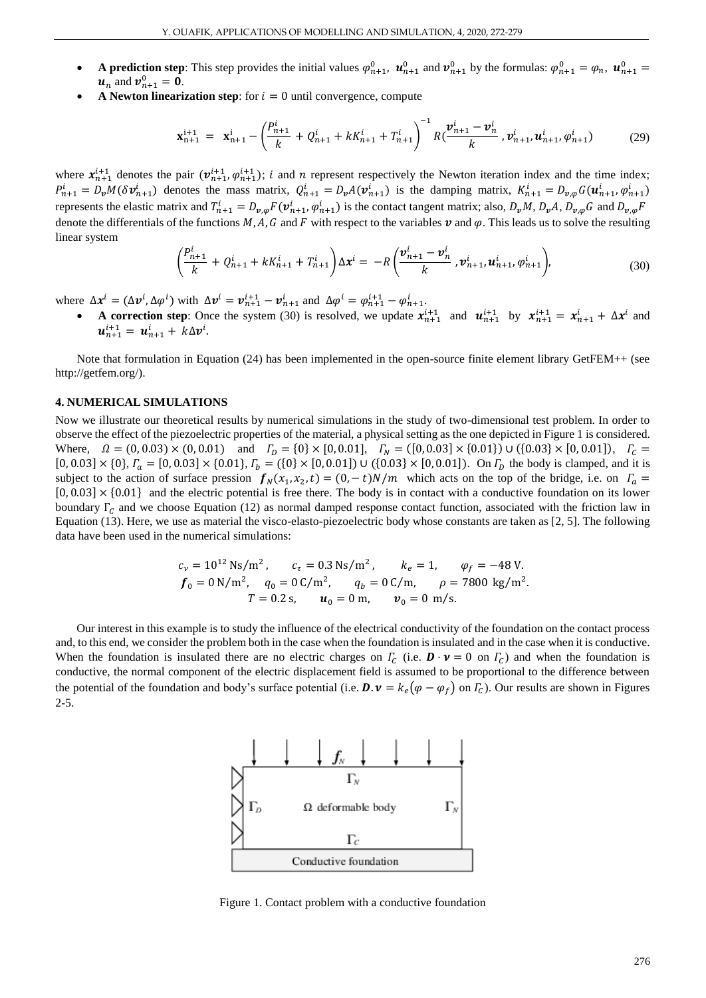- **A prediction step**: This step provides the initial values  $\varphi_{n+1}^0$ ,  $\mathbf{u}_{n+1}^0$  and  $\mathbf{v}_{n+1}^0$  by the formulas:  $\varphi_{n+1}^0 = \varphi_n$ ,  $\mathbf{u}_{n+1}^0 =$  $u_n$  and  $v_{n+1}^0 = 0$ .
- **A Newton linearization step**: for  $i = 0$  until convergence, compute

$$
\mathbf{x}_{n+1}^{i+1} = \mathbf{x}_{n+1}^i - \left(\frac{P_{n+1}^i}{k} + Q_{n+1}^i + kK_{n+1}^i + T_{n+1}^i\right)^{-1} R\left(\frac{\mathbf{v}_{n+1}^i - \mathbf{v}_n^i}{k}, \mathbf{v}_{n+1}^i, \mathbf{u}_{n+1}^i, \phi_{n+1}^i\right) \tag{29}
$$

where  $x_{n+1}^{i+1}$  denotes the pair  $(v_{n+1}^{i+1}, \varphi_{n+1}^{i+1})$ ; i and *n* represent respectively the Newton iteration index and the time index;  $P_{n+1}^i = D_v M(\delta v_{n+1}^i)$  denotes the mass matrix,  $Q_{n+1}^i = D_v A(v_{n+1}^i)$  is the damping matrix,  $K_{n+1}^i = D_{v,\varphi} G(u_{n+1}^i, \varphi_{n+1}^i)$ represents the elastic matrix and  $T_{n+1}^i = D_{v,\varphi} F(\mathbf{v}_{n+1}^i, \varphi_{n+1}^i)$  is the contact tangent matrix; also,  $D_v M$ ,  $D_v A$ ,  $D_{v,\varphi} G$  and  $D_{v,\varphi} F$ denote the differentials of the functions M, A, G and F with respect to the variables  $v$  and  $\varphi$ . This leads us to solve the resulting linear system

$$
\left(\frac{P_{n+1}^i}{k} + Q_{n+1}^i + kK_{n+1}^i + T_{n+1}^i\right)\Delta x^i = -R\left(\frac{\boldsymbol{v}_{n+1}^i - \boldsymbol{v}_n^i}{k}, \boldsymbol{v}_{n+1}^i, \boldsymbol{u}_{n+1}^i, \varphi_{n+1}^i\right),\tag{30}
$$

where  $\Delta x^i = (\Delta v^i, \Delta \varphi^i)$  with  $\Delta v^i = v_{n+1}^{i+1} - v_{n+1}^i$  and  $\Delta \varphi^i = \varphi_{n+1}^{i+1} - \varphi_{n+1}^i$ .

**A correction step**: Once the system (30) is resolved, we update  $x_{n+1}^{i+1}$  and  $u_{n+1}^{i+1}$  by  $x_{n+1}^{i+1} = x_{n+1}^i + \Delta x^i$  and  $u_{n+1}^{i+1} = u_{n+1}^i + k\Delta v^i$ .

Note that formulation in Equation (24) has been implemented in the open-source finite element library GetFEM++ (see http://getfem.org/).

#### **4. NUMERICAL SIMULATIONS**

Now we illustrate our theoretical results by numerical simulations in the study of two-dimensional test problem. In order to observe the effect of the piezoelectric properties of the material, a physical setting as the one depicted in Figure 1 is considered. Where,  $\Omega = (0, 0.03) \times (0, 0.01)$  and  $\Gamma_D = \{0\} \times [0, 0.01]$ ,  $\Gamma_N = ([0, 0.03] \times \{0.01\}) \cup (\{0.03\} \times [0, 0.01])$ ,  $\Gamma_C =$  $[0, 0.03] \times \{0\}$ ,  $\Gamma_a = [0, 0.03] \times \{0.01\}$ ,  $\Gamma_b = (\{0\} \times [0, 0.01]) \cup (\{0.03\} \times [0, 0.01])$ . On  $\Gamma_b$  the body is clamped, and it is subject to the action of surface pression  $f_N(x_1, x_2, t) = (0, -t)N/m$  which acts on the top of the bridge, i.e. on  $\Gamma_a =$  $[0, 0.03] \times \{0.01\}$  and the electric potential is free there. The body is in contact with a conductive foundation on its lower boundary  $\Gamma_c$  and we choose Equation (12) as normal damped response contact function, associated with the friction law in Equation (13). Here, we use as material the visco-elasto-piezoelectric body whose constants are taken as [2, 5]. The following data have been used in the numerical simulations:

$$
c_v = 10^{12}
$$
 Ns/m<sup>2</sup>,  $c_\tau = 0.3$  Ns/m<sup>2</sup>,  $k_e = 1$ ,  $\varphi_f = -48$  V.  
\n $f_0 = 0$  N/m<sup>2</sup>,  $q_0 = 0$  C/m<sup>2</sup>,  $q_b = 0$  C/m,  $\rho = 7800$  kg/m<sup>2</sup>.  
\n $T = 0.2$  s,  $u_0 = 0$  m,  $v_0 = 0$  m/s.

Our interest in this example is to study the influence of the electrical conductivity of the foundation on the contact process and, to this end, we consider the problem both in the case when the foundation is insulated and in the case when it is conductive. When the foundation is insulated there are no electric charges on  $\Gamma_c$  (i.e.  $\mathbf{D} \cdot \mathbf{v} = 0$  on  $\Gamma_c$ ) and when the foundation is conductive, the normal component of the electric displacement field is assumed to be proportional to the difference between the potential of the foundation and body's surface potential (i.e.  $\mathbf{D} \cdot \mathbf{v} = k_e (\varphi - \varphi_f)$  on  $\Gamma_c$ ). Our results are shown in Figures 2-5.



Figure 1. Contact problem with a conductive foundation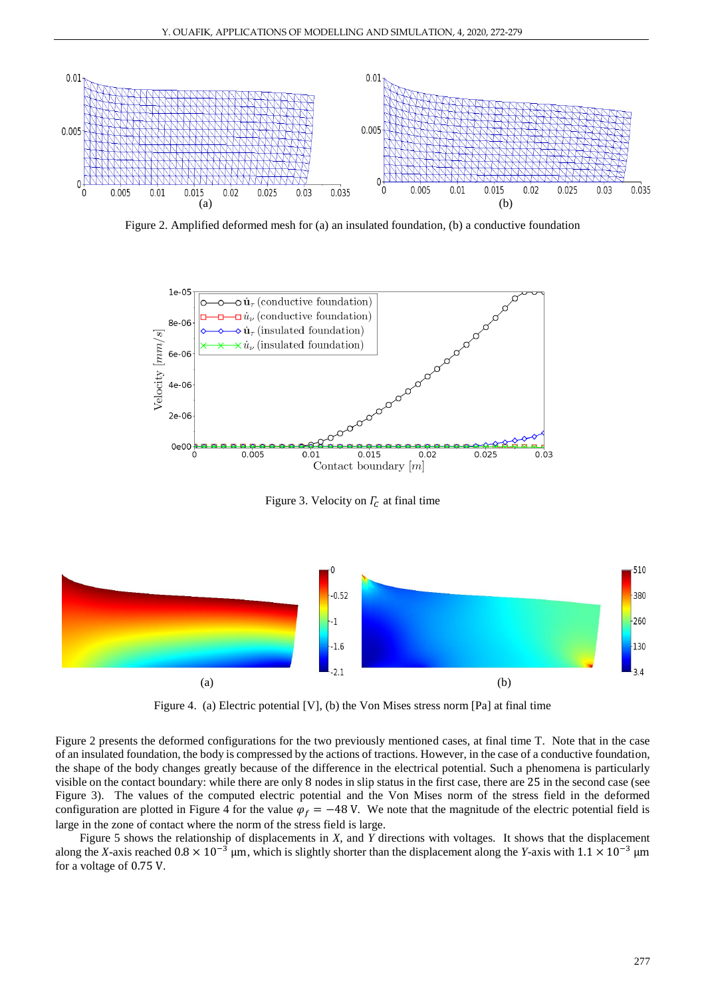

Figure 2. Amplified deformed mesh for (a) an insulated foundation, (b) a conductive foundation



Figure 3. Velocity on  $\Gamma_c$  at final time



Figure 4. (a) Electric potential [V], (b) the Von Mises stress norm [Pa] at final time

Figure 2 presents the deformed configurations for the two previously mentioned cases, at final time T. Note that in the case of an insulated foundation, the body is compressed by the actions of tractions. However, in the case of a conductive foundation, the shape of the body changes greatly because of the difference in the electrical potential. Such a phenomena is particularly visible on the contact boundary: while there are only 8 nodes in slip status in the first case, there are 25 in the second case (see Figure 3). The values of the computed electric potential and the Von Mises norm of the stress field in the deformed configuration are plotted in Figure 4 for the value  $\varphi_f = -48$  V. We note that the magnitude of the electric potential field is large in the zone of contact where the norm of the stress field is large.

Figure 5 shows the relationship of displacements in *X*, and *Y* directions with voltages. It shows that the displacement along the *X*-axis reached  $0.8 \times 10^{-3}$  µm, which is slightly shorter than the displacement along the *Y*-axis with  $1.1 \times 10^{-3}$  µm for a voltage of 0.75 V.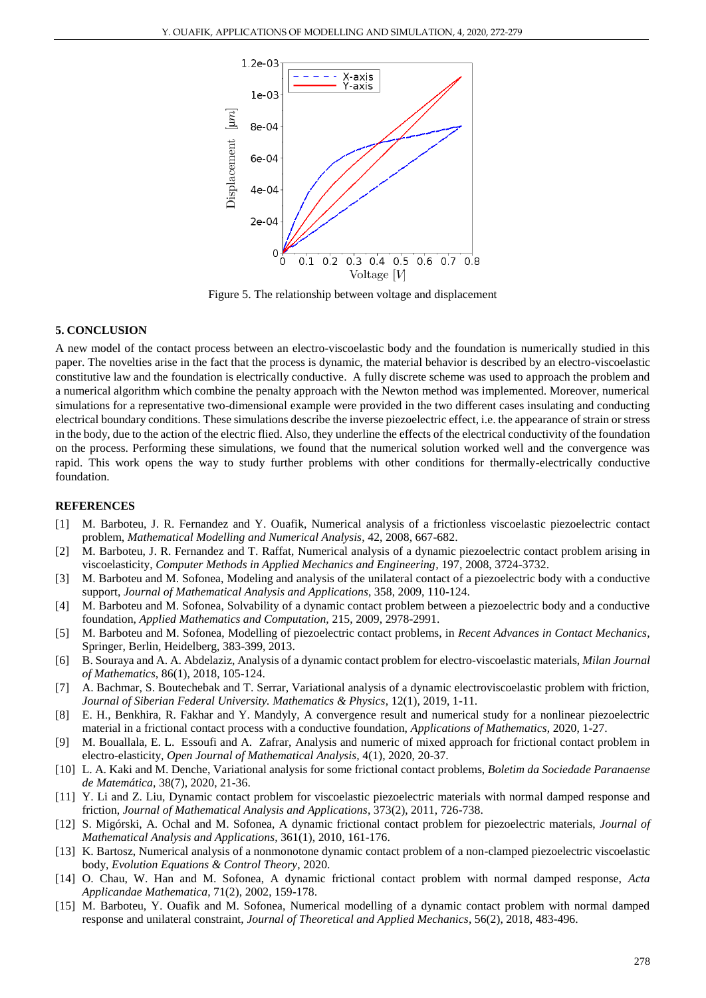

Figure 5. The relationship between voltage and displacement

## **5. CONCLUSION**

A new model of the contact process between an electro-viscoelastic body and the foundation is numerically studied in this paper. The novelties arise in the fact that the process is dynamic, the material behavior is described by an electro-viscoelastic constitutive law and the foundation is electrically conductive. A fully discrete scheme was used to approach the problem and a numerical algorithm which combine the penalty approach with the Newton method was implemented. Moreover, numerical simulations for a representative two-dimensional example were provided in the two different cases insulating and conducting electrical boundary conditions. These simulations describe the inverse piezoelectric effect, i.e. the appearance of strain or stress in the body, due to the action of the electric flied. Also, they underline the effects of the electrical conductivity of the foundation on the process. Performing these simulations, we found that the numerical solution worked well and the convergence was rapid. This work opens the way to study further problems with other conditions for thermally-electrically conductive foundation.

#### **REFERENCES**

- [1] M. Barboteu, J. R. Fernandez and Y. Ouafik, Numerical analysis of a frictionless viscoelastic piezoelectric contact problem, *Mathematical Modelling and Numerical Analysis*, 42, 2008, 667-682.
- [2] M. Barboteu, J. R. Fernandez and T. Raffat, Numerical analysis of a dynamic piezoelectric contact problem arising in viscoelasticity, *Computer Methods in Applied Mechanics and Engineering,* 197, 2008, 3724-3732.
- [3] M. Barboteu and M. Sofonea, Modeling and analysis of the unilateral contact of a piezoelectric body with a conductive support, *Journal of Mathematical Analysis and Applications*, 358, 2009, 110-124.
- [4] M. Barboteu and M. Sofonea, Solvability of a dynamic contact problem between a piezoelectric body and a conductive foundation, *Applied Mathematics and Computation,* 215, 2009, 2978-2991.
- [5] M. Barboteu and M. Sofonea, Modelling of piezoelectric contact problems, in *Recent Advances in Contact Mechanics*, Springer, Berlin, Heidelberg, 383-399, 2013.
- [6] B. Souraya and A. A. Abdelaziz, Analysis of a dynamic contact problem for electro-viscoelastic materials, *Milan Journal of Mathematics*, 86(1), 2018, 105-124.
- [7] A. Bachmar, S. Boutechebak and T. Serrar, Variational analysis of a dynamic electroviscoelastic problem with friction, *Journal of Siberian Federal University. Mathematics & Physics*, 12(1), 2019, 1-11.
- [8] E. H., Benkhira, R. Fakhar and Y. Mandyly, A convergence result and numerical study for a nonlinear piezoelectric material in a frictional contact process with a conductive foundation, *Applications of Mathematics*, 2020, 1-27.
- [9] M. Bouallala, E. L. Essoufi and A. Zafrar, Analysis and numeric of mixed approach for frictional contact problem in electro-elasticity*, Open Journal of Mathematical Analysis,* 4(1), 2020, 20-37.
- [10] L. A. Kaki and M. Denche, Variational analysis for some frictional contact problems, *Boletim da Sociedade Paranaense de Matemática*, 38(7), 2020, 21-36.
- [11] Y. Li and Z. Liu, Dynamic contact problem for viscoelastic piezoelectric materials with normal damped response and friction, *Journal of Mathematical Analysis and Applications*, 373(2), 2011, 726-738.
- [12] S. Migórski, A. Ochal and M. Sofonea, A dynamic frictional contact problem for piezoelectric materials, *Journal of Mathematical Analysis and Applications*, 361(1), 2010, 161-176.
- [13] K. Bartosz, Numerical analysis of a nonmonotone dynamic contact problem of a non-clamped piezoelectric viscoelastic body, *Evolution Equations & Control Theory*, 2020.
- [14] O. Chau, W. Han and M. Sofonea, A dynamic frictional contact problem with normal damped response, *Acta Applicandae Mathematica*, 71(2), 2002, 159-178.
- [15] M. Barboteu, Y. Ouafik and M. Sofonea, Numerical modelling of a dynamic contact problem with normal damped response and unilateral constraint, *Journal of Theoretical and Applied Mechanics*, 56(2), 2018, 483-496.